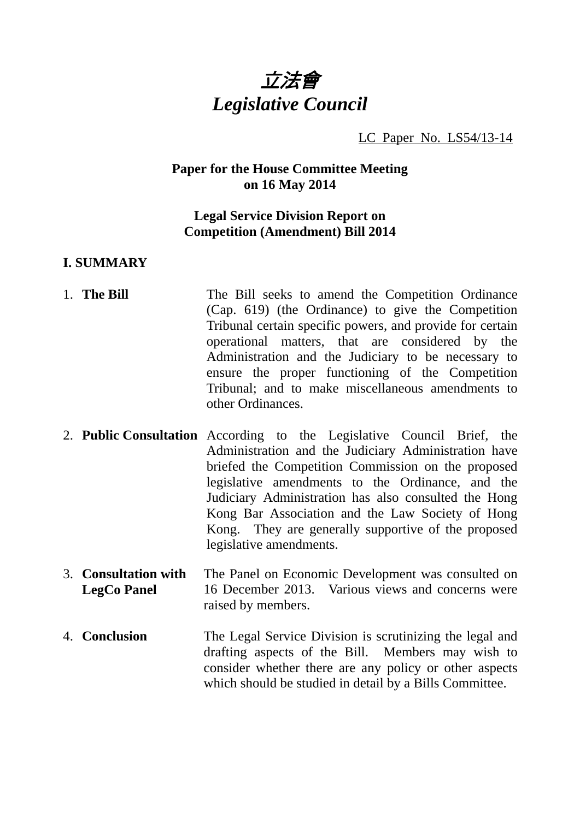

LC Paper No. LS54/13-14

### **Paper for the House Committee Meeting on 16 May 2014**

### **Legal Service Division Report on Competition (Amendment) Bill 2014**

#### **I. SUMMARY**

- 1. **The Bill The Bill seeks to amend the Competition Ordinance** (Cap. 619) (the Ordinance) to give the Competition Tribunal certain specific powers, and provide for certain operational matters, that are considered by the Administration and the Judiciary to be necessary to ensure the proper functioning of the Competition Tribunal; and to make miscellaneous amendments to other Ordinances.
- 2. **Public Consultation** According to the Legislative Council Brief, the Administration and the Judiciary Administration have briefed the Competition Commission on the proposed legislative amendments to the Ordinance, and the Judiciary Administration has also consulted the Hong Kong Bar Association and the Law Society of Hong Kong. They are generally supportive of the proposed legislative amendments.
- 3. **Consultation with LegCo Panel**  The Panel on Economic Development was consulted on 16 December 2013. Various views and concerns were raised by members.
- 4. **Conclusion** The Legal Service Division is scrutinizing the legal and drafting aspects of the Bill. Members may wish to consider whether there are any policy or other aspects which should be studied in detail by a Bills Committee.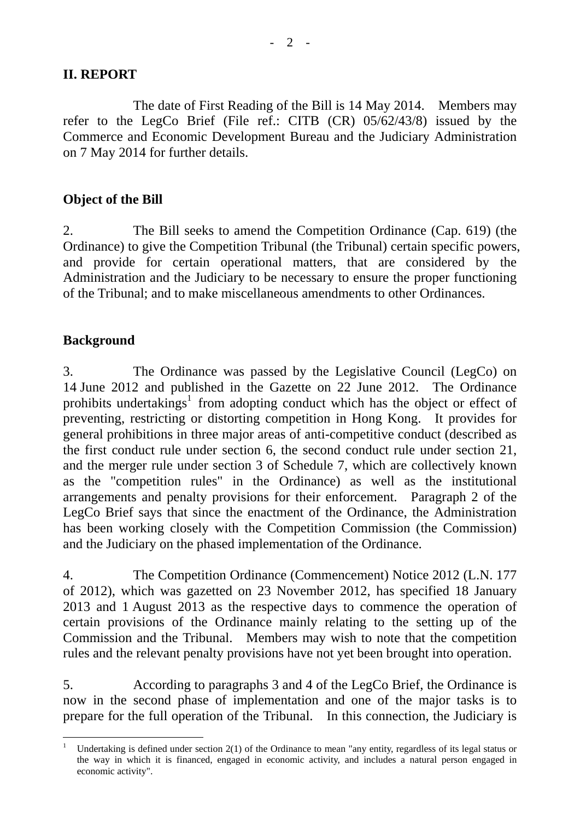### **II. REPORT**

 The date of First Reading of the Bill is 14 May 2014. Members may refer to the LegCo Brief (File ref.: CITB (CR) 05/62/43/8) issued by the Commerce and Economic Development Bureau and the Judiciary Administration on 7 May 2014 for further details.

## **Object of the Bill**

2. The Bill seeks to amend the Competition Ordinance (Cap. 619) (the Ordinance) to give the Competition Tribunal (the Tribunal) certain specific powers, and provide for certain operational matters, that are considered by the Administration and the Judiciary to be necessary to ensure the proper functioning of the Tribunal; and to make miscellaneous amendments to other Ordinances.

# **Background**

3. The Ordinance was passed by the Legislative Council (LegCo) on 14 June 2012 and published in the Gazette on 22 June 2012. The Ordinance prohibits undertakings<sup>1</sup> from adopting conduct which has the object or effect of preventing, restricting or distorting competition in Hong Kong. It provides for general prohibitions in three major areas of anti-competitive conduct (described as the first conduct rule under section 6, the second conduct rule under section 21, and the merger rule under section 3 of Schedule 7, which are collectively known as the "competition rules" in the Ordinance) as well as the institutional arrangements and penalty provisions for their enforcement. Paragraph 2 of the LegCo Brief says that since the enactment of the Ordinance, the Administration has been working closely with the Competition Commission (the Commission) and the Judiciary on the phased implementation of the Ordinance.

4. The Competition Ordinance (Commencement) Notice 2012 (L.N. 177 of 2012), which was gazetted on 23 November 2012, has specified 18 January 2013 and 1 August 2013 as the respective days to commence the operation of certain provisions of the Ordinance mainly relating to the setting up of the Commission and the Tribunal. Members may wish to note that the competition rules and the relevant penalty provisions have not yet been brought into operation.

5. According to paragraphs 3 and 4 of the LegCo Brief, the Ordinance is now in the second phase of implementation and one of the major tasks is to prepare for the full operation of the Tribunal. In this connection, the Judiciary is

l 1 Undertaking is defined under section 2(1) of the Ordinance to mean "any entity, regardless of its legal status or the way in which it is financed, engaged in economic activity, and includes a natural person engaged in economic activity".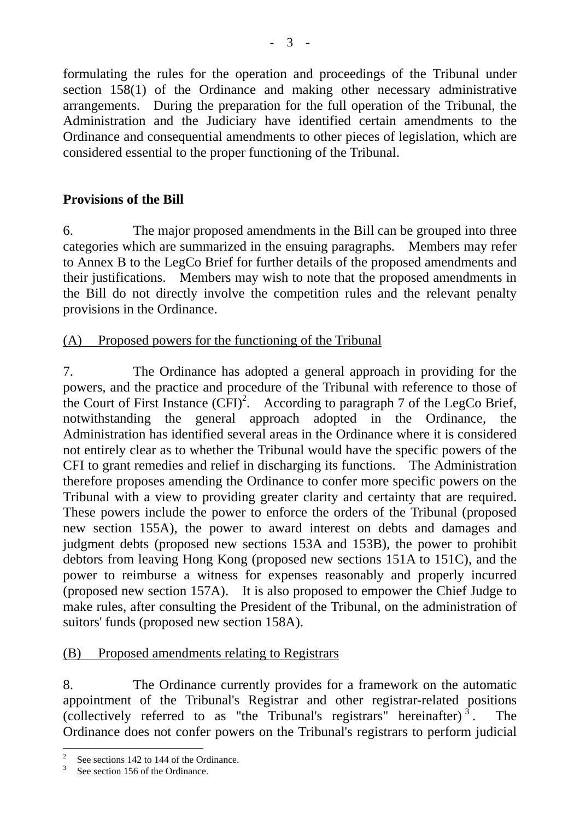formulating the rules for the operation and proceedings of the Tribunal under section 158(1) of the Ordinance and making other necessary administrative arrangements. During the preparation for the full operation of the Tribunal, the Administration and the Judiciary have identified certain amendments to the Ordinance and consequential amendments to other pieces of legislation, which are considered essential to the proper functioning of the Tribunal.

# **Provisions of the Bill**

6. The major proposed amendments in the Bill can be grouped into three categories which are summarized in the ensuing paragraphs. Members may refer to Annex B to the LegCo Brief for further details of the proposed amendments and their justifications. Members may wish to note that the proposed amendments in the Bill do not directly involve the competition rules and the relevant penalty provisions in the Ordinance.

# (A) Proposed powers for the functioning of the Tribunal

7. The Ordinance has adopted a general approach in providing for the powers, and the practice and procedure of the Tribunal with reference to those of the Court of First Instance  $(\overline{CFI})^2$ . According to paragraph 7 of the LegCo Brief, notwithstanding the general approach adopted in the Ordinance, the Administration has identified several areas in the Ordinance where it is considered not entirely clear as to whether the Tribunal would have the specific powers of the CFI to grant remedies and relief in discharging its functions. The Administration therefore proposes amending the Ordinance to confer more specific powers on the Tribunal with a view to providing greater clarity and certainty that are required. These powers include the power to enforce the orders of the Tribunal (proposed new section 155A), the power to award interest on debts and damages and judgment debts (proposed new sections 153A and 153B), the power to prohibit debtors from leaving Hong Kong (proposed new sections 151A to 151C), and the power to reimburse a witness for expenses reasonably and properly incurred (proposed new section 157A). It is also proposed to empower the Chief Judge to make rules, after consulting the President of the Tribunal, on the administration of suitors' funds (proposed new section 158A).

# (B) Proposed amendments relating to Registrars

8. The Ordinance currently provides for a framework on the automatic appointment of the Tribunal's Registrar and other registrar-related positions (collectively referred to as "the Tribunal's registrars" hereinafter)<sup>3</sup>. The Ordinance does not confer powers on the Tribunal's registrars to perform judicial

<sup>2</sup> See sections 142 to 144 of the Ordinance.

<sup>3</sup> See section 156 of the Ordinance.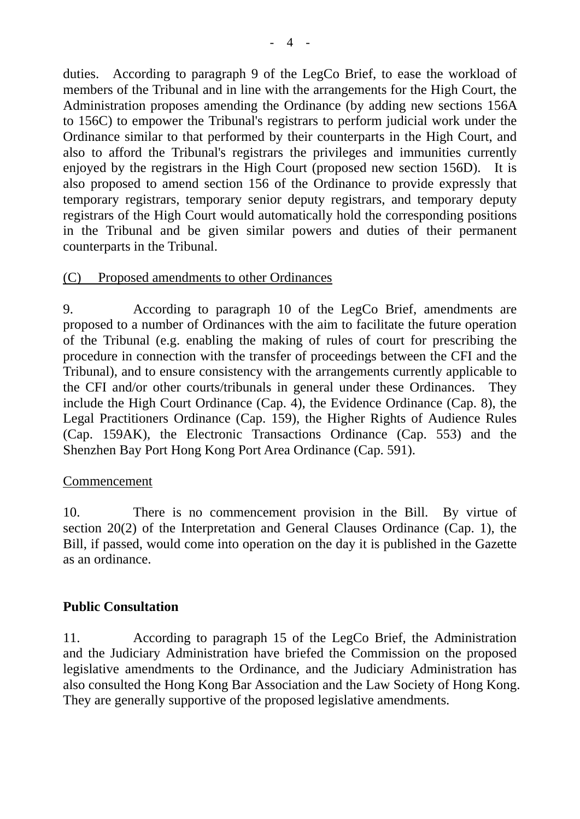duties. According to paragraph 9 of the LegCo Brief, to ease the workload of members of the Tribunal and in line with the arrangements for the High Court, the Administration proposes amending the Ordinance (by adding new sections 156A to 156C) to empower the Tribunal's registrars to perform judicial work under the Ordinance similar to that performed by their counterparts in the High Court, and also to afford the Tribunal's registrars the privileges and immunities currently enjoyed by the registrars in the High Court (proposed new section 156D). It is also proposed to amend section 156 of the Ordinance to provide expressly that temporary registrars, temporary senior deputy registrars, and temporary deputy registrars of the High Court would automatically hold the corresponding positions in the Tribunal and be given similar powers and duties of their permanent counterparts in the Tribunal.

### (C) Proposed amendments to other Ordinances

9. According to paragraph 10 of the LegCo Brief, amendments are proposed to a number of Ordinances with the aim to facilitate the future operation of the Tribunal (e.g. enabling the making of rules of court for prescribing the procedure in connection with the transfer of proceedings between the CFI and the Tribunal), and to ensure consistency with the arrangements currently applicable to the CFI and/or other courts/tribunals in general under these Ordinances. They include the High Court Ordinance (Cap. 4), the Evidence Ordinance (Cap. 8), the Legal Practitioners Ordinance (Cap. 159), the Higher Rights of Audience Rules (Cap. 159AK), the Electronic Transactions Ordinance (Cap. 553) and the Shenzhen Bay Port Hong Kong Port Area Ordinance (Cap. 591).

### Commencement

10. There is no commencement provision in the Bill. By virtue of section 20(2) of the Interpretation and General Clauses Ordinance (Cap. 1), the Bill, if passed, would come into operation on the day it is published in the Gazette as an ordinance.

# **Public Consultation**

11. According to paragraph 15 of the LegCo Brief, the Administration and the Judiciary Administration have briefed the Commission on the proposed legislative amendments to the Ordinance, and the Judiciary Administration has also consulted the Hong Kong Bar Association and the Law Society of Hong Kong. They are generally supportive of the proposed legislative amendments.